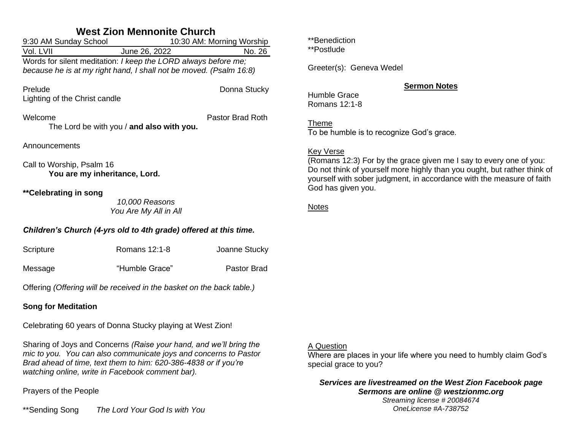# **West Zion Mennonite Church**

| 9:30 AM Sunday School                                                                                                                | 10:30 AM: Morning Worship               |               |  |  |
|--------------------------------------------------------------------------------------------------------------------------------------|-----------------------------------------|---------------|--|--|
| Vol. LVII                                                                                                                            | June 26, 2022                           | No. 26        |  |  |
| Words for silent meditation: I keep the LORD always before me;<br>because he is at my right hand, I shall not be moved. (Psalm 16:8) |                                         |               |  |  |
| Prelude<br>Lighting of the Christ candle                                                                                             |                                         | Donna Stucky  |  |  |
| Welcome<br>Pastor Brad Roth<br>The Lord be with you / and also with you.                                                             |                                         |               |  |  |
| Announcements                                                                                                                        |                                         |               |  |  |
| Call to Worship, Psalm 16<br>You are my inheritance, Lord.                                                                           |                                         |               |  |  |
| **Celebrating in song                                                                                                                | 10,000 Reasons<br>You Are My All in All |               |  |  |
| Children's Church (4-yrs old to 4th grade) offered at this time.                                                                     |                                         |               |  |  |
| Scripture                                                                                                                            | Romans 12:1-8                           | Joanne Stucky |  |  |
| Message                                                                                                                              | "Humble Grace"                          | Pastor Brad   |  |  |

Offering *(Offering will be received in the basket on the back table.)*

### **Song for Meditation**

Celebrating 60 years of Donna Stucky playing at West Zion!

Sharing of Joys and Concerns *(Raise your hand, and we'll bring the mic to you. You can also communicate joys and concerns to Pastor Brad ahead of time, text them to him: 620-386-4838 or if you're watching online, write in Facebook comment bar).*

Prayers of the People

\*\*Sending Song *The Lord Your God Is with You*

\*\*Benediction

\*\*Postlude

Greeter(s): Geneva Wedel

### **Sermon Notes**

Humble Grace Romans 12:1-8

Theme To be humble is to recognize God's grace.

## Key Verse

(Romans 12:3) For by the grace given me I say to every one of you: Do not think of yourself more highly than you ought, but rather think of yourself with sober judgment, in accordance with the measure of faith God has given you.

### **Notes**

## A Question

Where are places in your life where you need to humbly claim God's special grace to you?

*Services are livestreamed on the West Zion Facebook page Sermons are online @ westzionmc.org*

*Streaming license # 20084674 OneLicense #A-738752*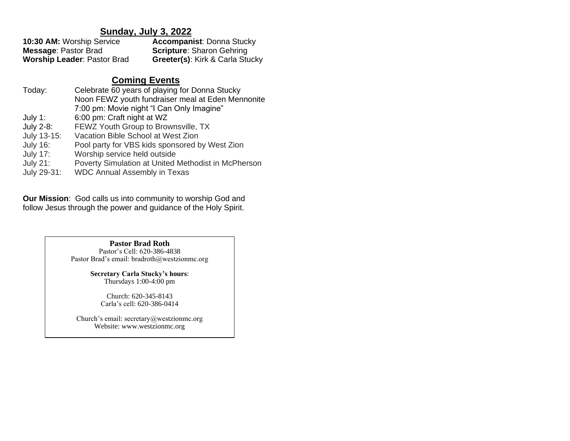## **Sunday, July 3, 2022**

| <b>10:30 AM: Worship Service</b>   | <b>Accompanist: Donna Stucky</b> |
|------------------------------------|----------------------------------|
| <b>Message: Pastor Brad</b>        | <b>Scripture:</b> Sharon Gehring |
| <b>Worship Leader: Pastor Brad</b> | Greeter(s): Kirk & Carla Stucky  |

## **Coming Events**

| Today:          | Celebrate 60 years of playing for Donna Stucky      |
|-----------------|-----------------------------------------------------|
|                 | Noon FEWZ youth fundraiser meal at Eden Mennonite   |
|                 | 7:00 pm: Movie night "I Can Only Imagine"           |
| July 1:         | 6:00 pm: Craft night at WZ                          |
| July 2-8:       | FEWZ Youth Group to Brownsville, TX                 |
| July 13-15:     | Vacation Bible School at West Zion                  |
| <b>July 16:</b> | Pool party for VBS kids sponsored by West Zion      |
| <b>July 17:</b> | Worship service held outside                        |
| <b>July 21:</b> | Poverty Simulation at United Methodist in McPherson |
| July 29-31:     | <b>WDC Annual Assembly in Texas</b>                 |

**Our Mission**: God calls us into community to worship God and follow Jesus through the power and guidance of the Holy Spirit.

> **Pastor Brad Roth** Pastor's Cell: 620-386-4838 Pastor Brad's email: bradroth@westzionmc.org

> > **Secretary Carla Stucky's hours**: Thursdays 1:00-4:00 pm

Church: 620-345-8143 Carla's cell: 620-386-0414

Church's email: secretary@westzionmc.org Website: www.westzionmc.org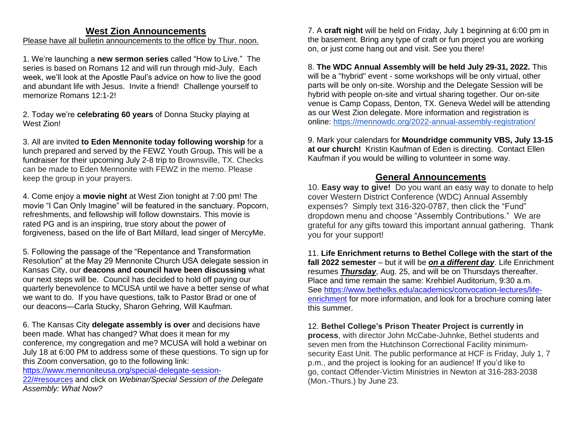### **West Zion Announcements**

#### Please have all bulletin announcements to the office by Thur. noon.

1. We're launching a **new sermon series** called "How to Live." The series is based on Romans 12 and will run through mid-July. Each week, we'll look at the Apostle Paul's advice on how to live the good and abundant life with Jesus. Invite a friend! Challenge yourself to memorize Romans 12:1-2!

2. Today we're **celebrating 60 years** of Donna Stucky playing at West Zion!

3. All are invited **to Eden Mennonite today following worship** for a lunch prepared and served by the FEWZ Youth Group**.** This will be a fundraiser for their upcoming July 2-8 trip to Brownsville, TX. Checks can be made to Eden Mennonite with FEWZ in the memo. Please keep the group in your prayers.

4. Come enjoy a **movie night** at West Zion tonight at 7:00 pm! The movie "I Can Only Imagine" will be featured in the sanctuary. Popcorn, refreshments, and fellowship will follow downstairs. This movie is rated PG and is an inspiring, true story about the power of forgiveness, based on the life of Bart Millard, lead singer of MercyMe.

5. Following the passage of the "Repentance and Transformation Resolution" at the May 29 Mennonite Church USA delegate session in Kansas City, our **deacons and council have been discussing** what our next steps will be. Council has decided to hold off paying our quarterly benevolence to MCUSA until we have a better sense of what we want to do. If you have questions, talk to Pastor Brad or one of our deacons—Carla Stucky, Sharon Gehring, Will Kaufman.

6. The Kansas City **delegate assembly is over** and decisions have been made. What has changed? What does it mean for my conference, my congregation and me? MCUSA will hold a webinar on July 18 at 6:00 PM to address some of these questions. To sign up for this Zoom conversation, go to the following link:

[https://www.mennoniteusa.org/special-delegate-session-](https://www.mennoniteusa.org/special-delegate-session-22/#resources)

[22/#resources](https://www.mennoniteusa.org/special-delegate-session-22/#resources) and click on *Webinar/Special Session of the Delegate Assembly: What Now?*

7. A **craft night** will be held on Friday, July 1 beginning at 6:00 pm in the basement. Bring any type of craft or fun project you are working on, or just come hang out and visit. See you there!

8. **The WDC Annual Assembly will be held July 29-31, 2022.** This will be a "hybrid" event - some workshops will be only virtual, other parts will be only on-site. Worship and the Delegate Session will be hybrid with people on-site and virtual sharing together. Our on-site venue is Camp Copass, Denton, TX. Geneva Wedel will be attending as our West Zion delegate. More information and registration is online:<https://mennowdc.org/2022-annual-assembly-registration/>

9. Mark your calendars for **Moundridge community VBS, July 13-15 at our church!** Kristin Kaufman of Eden is directing. Contact Ellen Kaufman if you would be willing to volunteer in some way.

### **General Announcements**

10. **Easy way to give!** Do you want an easy way to donate to help cover Western District Conference (WDC) Annual Assembly expenses? Simply text 316-320-0787, then click the "Fund" dropdown menu and choose "Assembly Contributions." We are grateful for any gifts toward this important annual gathering. Thank you for your support!

11. **Life Enrichment returns to Bethel College with the start of the fall 2022 semester** – but it will be *on a different day*. Life Enrichment resumes *Thursday*, Aug. 25, and will be on Thursdays thereafter. Place and time remain the same: Krehbiel Auditorium, 9:30 a.m. See [https://www.bethelks.edu/academics/convocation-lectures/life](https://www.bethelks.edu/academics/convocation-lectures/life-enrichment)[enrichment](https://www.bethelks.edu/academics/convocation-lectures/life-enrichment) for more information, and look for a brochure coming later this summer.

12. **Bethel College's Prison Theater Project is currently in process**, with director John McCabe-Juhnke, Bethel students and seven men from the Hutchinson Correctional Facility minimumsecurity East Unit. The public performance at HCF is Friday, July 1, 7 p.m., and the project is looking for an audience! If you'd like to go, contact Offender-Victim Ministries in Newton at 316-283-2038 (Mon.-Thurs.) by June 23.